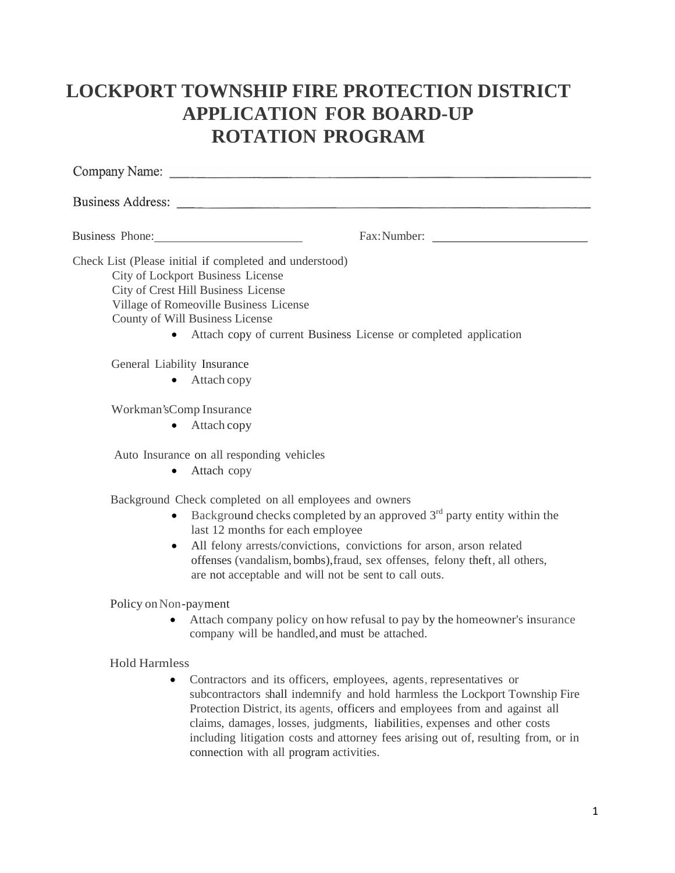# **LOCKPORT TOWNSHIP FIRE PROTECTION DISTRICT APPLICATION FOR BOARD-UP ROTATION PROGRAM**

|                      | Business Address:                                                                                                                                                                                                                                                                                                                                                                      |
|----------------------|----------------------------------------------------------------------------------------------------------------------------------------------------------------------------------------------------------------------------------------------------------------------------------------------------------------------------------------------------------------------------------------|
|                      | Business Phone: 2008                                                                                                                                                                                                                                                                                                                                                                   |
|                      | Check List (Please initial if completed and understood)<br>City of Lockport Business License<br>City of Crest Hill Business License<br>Village of Romeoville Business License<br>County of Will Business License<br>Attach copy of current Business License or completed application                                                                                                   |
|                      | General Liability Insurance<br>Attach copy                                                                                                                                                                                                                                                                                                                                             |
|                      | Workman's Comp Insurance<br>Attach copy                                                                                                                                                                                                                                                                                                                                                |
|                      | Auto Insurance on all responding vehicles<br>• Attach copy                                                                                                                                                                                                                                                                                                                             |
|                      | Background Check completed on all employees and owners<br>Background checks completed by an approved $3rd$ party entity within the<br>last 12 months for each employee<br>All felony arrests/convictions, convictions for arson, arson related<br>offenses (vandalism, bombs), fraud, sex offenses, felony theft, all others,<br>are not acceptable and will not be sent to call outs. |
|                      | Policy on Non-payment<br>Attach company policy on how refusal to pay by the homeowner's insurance<br>company will be handled, and must be attached.                                                                                                                                                                                                                                    |
| <b>Hold Harmless</b> | Contractors and its officers, employees, agents, representatives or<br>subcontractors shall indemnify and hold harmless the Lockport Township Fire<br>Protection District, its agents, officers and employees from and against all<br>claims, damages, losses, judgments, liabilities, expenses and other costs                                                                        |

including litigation costs and attorney fees arising out of, resulting from, or in

connection with all program activities.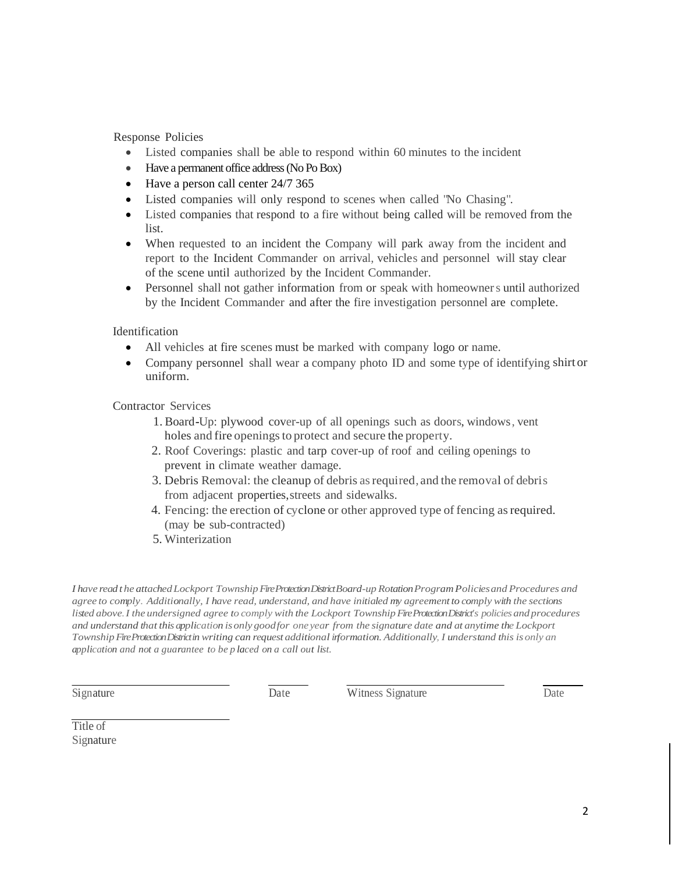Response Policies

- Listed companies shall be able to respond within 60 minutes to the incident
- Have a permanent office address (No Po Box)
- Have a person call center 24/7 365
- Listed companies will only respond to scenes when called "No Chasing".
- Listed companies that respond to a fire without being called will be removed from the list.
- When requested to an incident the Company will park away from the incident and report to the Incident Commander on arrival, vehicles and personnel will stay clear of the scene until authorized by the Incident Commander.
- Personnel shall not gather information from or speak with homeowners until authorized by the Incident Commander and after the fire investigation personnel are complete.

Identification

- All vehicles at fire scenes must be marked with company logo or name.
- Company personnel shall wear a company photo ID and some type of identifying shirtor uniform.

Contractor Services

- 1. Board-Up: plywood cover-up of all openings such as doors, windows, vent holes and fire openings to protect and secure the property.
- 2. Roof Coverings: plastic and tarp cover-up of roof and ceiling openings to prevent in climate weather damage.
- 3. Debris Removal: the cleanup of debris asrequired, and the removal of debris from adjacent properties,streets and sidewalks.
- 4. Fencing: the erection of cyclone or other approved type of fencing asrequired. (may be sub-contracted)
- 5. Winterization

*I have read t he attachedLockport TownshipFire Protection District Board-up RotationProgramPoliciesand Procedures and* agree to comply. Additionally, I have read, understand, and have initialed my agreement to comply with the sections *listed above.I the undersigned agree to comply with the Lockport TownshipFire Protection District's policiesand procedures* and understand that this application is only goodfor one year from the signature date and at anytime the Lockport *TownshipFire Protection District in writing can request additional information. Additionally, I understand this is only an application and not a guarantee to be p laced on a call out list.*

Signature Date Date Witness Signature Date

Title of Signature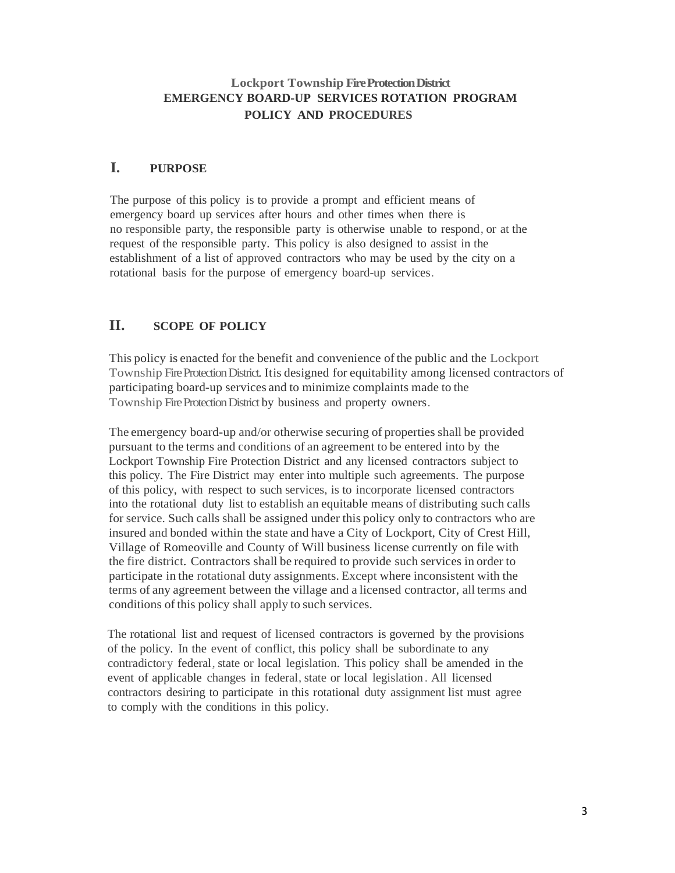# **Lockport Township Fire Protection District EMERGENCY BOARD-UP SERVICES ROTATION PROGRAM POLICY AND PROCEDURES**

# **I. PURPOSE**

The purpose of this policy is to provide a prompt and efficient means of emergency board up services after hours and other times when there is no responsible party, the responsible party is otherwise unable to respond, or at the request of the responsible party. This policy is also designed to assist in the establishment of a list of approved contractors who may be used by the city on a rotational basis for the purpose of emergency board-up services.

# **II. SCOPE OF POLICY**

This policy is enacted for the benefit and convenience ofthe public and the Lockport Township Fire Protection District. Itis designed for equitability among licensed contractors of participating board-up services and to minimize complaints made to the Township Fire Protection District by business and property owners.

The emergency board-up and/or otherwise securing of properties shall be provided pursuant to the terms and conditions of an agreement to be entered into by the Lockport Township Fire Protection District and any licensed contractors subject to this policy. The Fire District may enter into multiple such agreements. The purpose of this policy, with respect to such services, is to incorporate licensed contractors into the rotational duty list to establish an equitable means of distributing such calls for service. Such calls shall be assigned under this policy only to contractors who are insured and bonded within the state and have a City of Lockport, City of Crest Hill, Village of Romeoville and County of Will business license currently on file with the fire district. Contractors shall be required to provide such services in order to participate in the rotational duty assignments. Except where inconsistent with the terms of any agreement between the village and a licensed contractor, all terms and conditions ofthis policy shall apply to such services.

The rotational list and request of licensed contractors is governed by the provisions of the policy. In the event of conflict, this policy shall be subordinate to any contradictory federal, state or local legislation. This policy shall be amended in the event of applicable changes in federal, state or local legislation . All licensed contractors desiring to participate in this rotational duty assignment list must agree to comply with the conditions in this policy.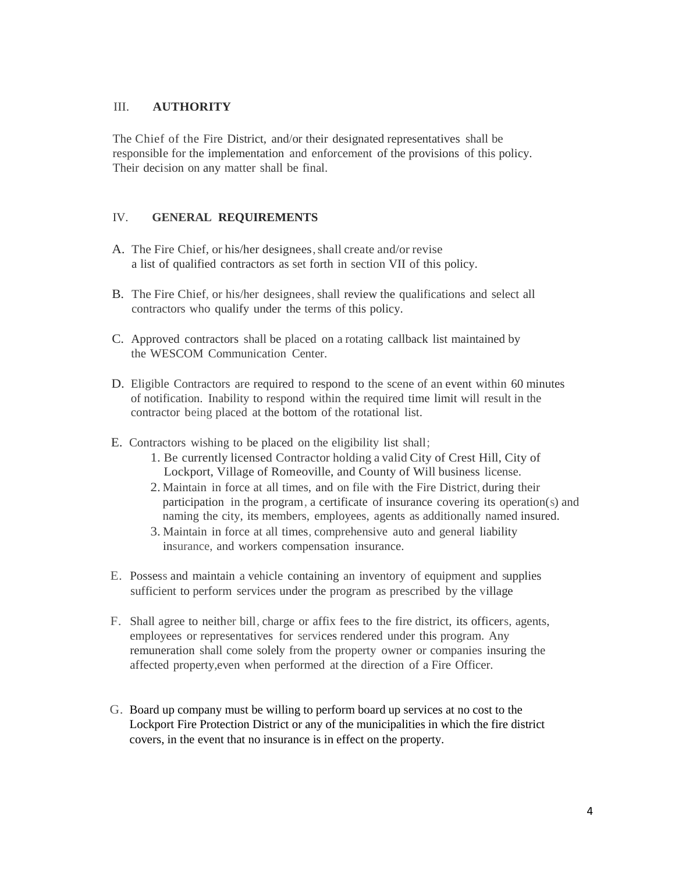#### III. **AUTHORITY**

The Chief of the Fire District, and/or their designated representatives shall be responsible for the implementation and enforcement of the provisions of this policy. Their decision on any matter shall be final.

#### IV. **GENERAL REQUIREMENTS**

- A. The Fire Chief, or his/her designees, shall create and/or revise a list of qualified contractors as set forth in section VII of this policy.
- B. The Fire Chief, or his/her designees, shall review the qualifications and select all contractors who qualify under the terms of this policy.
- C. Approved contractors shall be placed on a rotating callback list maintained by the WESCOM Communication Center.
- D. Eligible Contractors are required to respond to the scene of an event within 60 minutes of notification. Inability to respond within the required time limit will result in the contractor being placed at the bottom of the rotational list.
- E. Contractors wishing to be placed on the eligibility list shall;
	- 1. Be currently licensed Contractor holding a valid City of Crest Hill, City of Lockport, Village of Romeoville, and County of Will business license.
	- 2. Maintain in force at all times, and on file with the Fire District, during their participation in the program, a certificate of insurance covering its operation(s) and naming the city, its members, employees, agents as additionally named insured.
	- 3. Maintain in force at all times, comprehensive auto and general liability insurance, and workers compensation insurance.
- E. Possess and maintain a vehicle containing an inventory of equipment and supplies sufficient to perform services under the program as prescribed by the village
- F. Shall agree to neither bill, charge or affix fees to the fire district, its officers, agents, employees or representatives for services rendered under this program. Any remuneration shall come solely from the property owner or companies insuring the affected property,even when performed at the direction of a Fire Officer.
- G. Board up company must be willing to perform board up services at no cost to the Lockport Fire Protection District or any of the municipalities in which the fire district covers, in the event that no insurance is in effect on the property.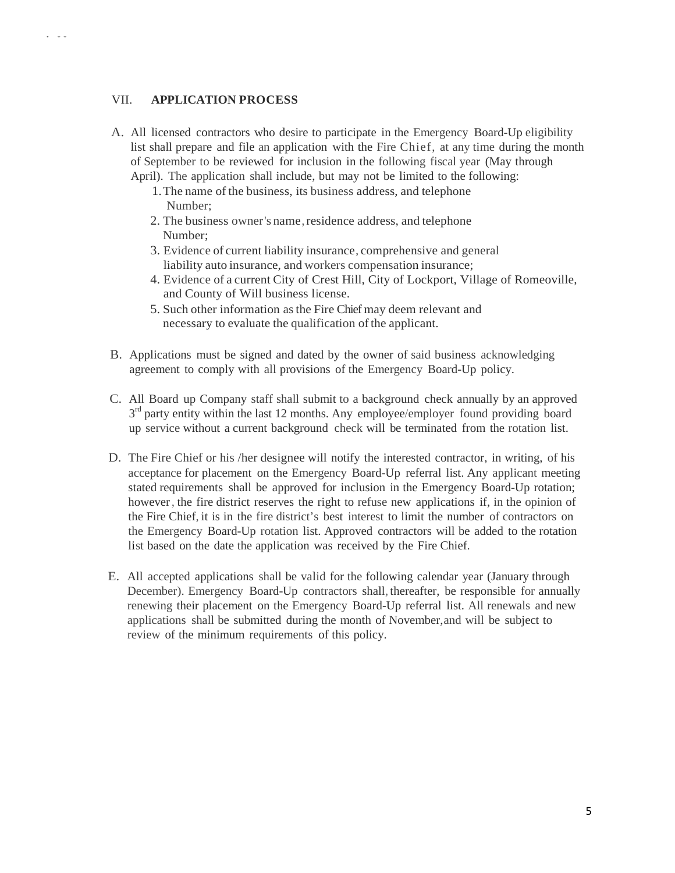#### VII. **APPLICATION PROCESS**

. ..

- A. All licensed contractors who desire to participate in the Emergency Board-Up eligibility list shall prepare and file an application with the Fire Chief, at any time during the month of September to be reviewed for inclusion in the following fiscal year (May through April). The application shall include, but may not be limited to the following:
	- 1.The name of the business, its business address, and telephone Number;
	- 2. The business owner's name, residence address, and telephone Number;
	- 3. Evidence of current liability insurance, comprehensive and general liability auto insurance, and workers compensation insurance;
	- 4. Evidence of a current City of Crest Hill, City of Lockport, Village of Romeoville, and County of Will business license.
	- 5. Such other information asthe Fire Chief may deem relevant and necessary to evaluate the qualification of the applicant.
- B. Applications must be signed and dated by the owner of said business acknowledging agreement to comply with all provisions of the Emergency Board-Up policy.
- C. All Board up Company staff shall submit to a background check annually by an approved  $3<sup>rd</sup>$  party entity within the last 12 months. Any employee/employer found providing board up service without a current background check will be terminated from the rotation list.
- D. The Fire Chief or his /her designee will notify the interested contractor, in writing, of his acceptance for placement on the Emergency Board-Up referral list. Any applicant meeting stated requirements shall be approved for inclusion in the Emergency Board-Up rotation; however, the fire district reserves the right to refuse new applications if, in the opinion of the Fire Chief, it is in the fire district's best interest to limit the number of contractors on the Emergency Board-Up rotation list. Approved contractors will be added to the rotation list based on the date the application was received by the Fire Chief.
- E. All accepted applications shall be valid for the following calendar year (January through December). Emergency Board-Up contractors shall, thereafter, be responsible for annually renewing their placement on the Emergency Board-Up referral list. All renewals and new applications shall be submitted during the month of November,and will be subject to review of the minimum requirements of this policy.